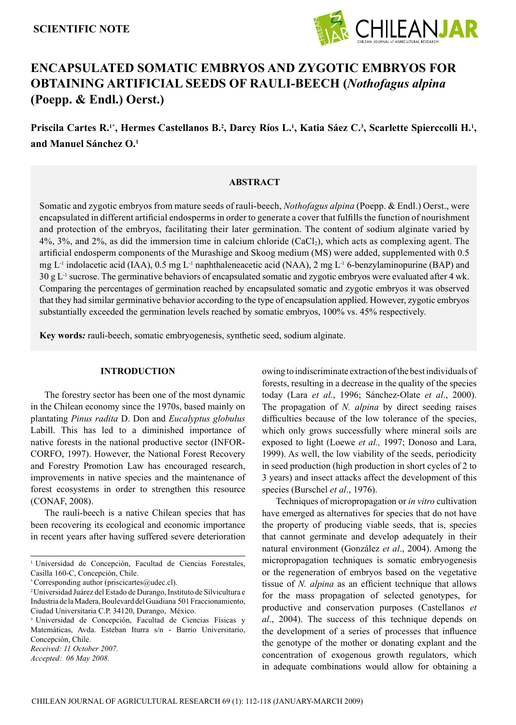

# **ENCAPSULATED SOMATIC EMBRYOS AND ZYGOTIC EMBRYOS FOR OBTAINING ARTIFICIAL SEEDS OF RAULI-BEECH (***Nothofagus alpina*  **(Poepp. & Endl.) Oerst.)**

Priscila Cartes R.'\*, Hermes Castellanos B.<sup>2</sup>, Darcy Ríos L.', Katia Sáez C.<sup>3</sup>, Scarlette Spierccolli H.', **and Manuel Sánchez O.1**

## **ABSTRACT**

Somatic and zygotic embryos from mature seeds of rauli-beech, *Nothofagus alpina* (Poepp. & Endl.) Oerst., were encapsulated in different artificial endosperms in order to generate a cover that fulfills the function of nourishment and protection of the embryos, facilitating their later germination. The content of sodium alginate varied by 4%, 3%, and 2%, as did the immersion time in calcium chloride (CaCl2), which acts as complexing agent. The artificial endosperm components of the Murashige and Skoog medium (MS) were added, supplemented with 0.5 mg L<sup>-1</sup> indolacetic acid (IAA), 0.5 mg L<sup>-1</sup> naphthaleneacetic acid (NAA), 2 mg L<sup>-1</sup> 6-benzylaminopurine (BAP) and  $30 \text{ g L}^{-1}$  sucrose. The germinative behaviors of encapsulated somatic and zygotic embryos were evaluated after 4 wk. Comparing the percentages of germination reached by encapsulated somatic and zygotic embryos it was observed that they had similar germinative behavior according to the type of encapsulation applied. However, zygotic embryos substantially exceeded the germination levels reached by somatic embryos, 100% vs. 45% respectively.

**Key words***:* rauli-beech, somatic embryogenesis, synthetic seed, sodium alginate.

## **INTRODUCTION**

The forestry sector has been one of the most dynamic in the Chilean economy since the 1970s, based mainly on plantating *Pinus radita* D. Don and *Eucalyptus globulus* Labill. This has led to a diminished importance of native forests in the national productive sector (INFOR-CORFO, 1997). However, the National Forest Recovery and Forestry Promotion Law has encouraged research, improvements in native species and the maintenance of forest ecosystems in order to strengthen this resource (CONAF, 2008).

The raulí-beech is a native Chilean species that has been recovering its ecological and economic importance in recent years after having suffered severe deterioration

\* Corresponding author (priscicartes@udec.cl).

*Accepted: 06 May 2008.*

owing to indiscriminate extraction of the best individuals of forests, resulting in a decrease in the quality of the species today (Lara *et al.*, 1996; Sánchez-Olate *et al*., 2000). The propagation of *N. alpina* by direct seeding raises difficulties because of the low tolerance of the species, which only grows successfully where mineral soils are exposed to light (Loewe *et al.,* 1997; Donoso and Lara, 1999). As well, the low viability of the seeds, periodicity in seed production (high production in short cycles of 2 to 3 years) and insect attacks affect the development of this species (Burschel *et al*., 1976).

Techniques of micropropagation or *in vitro* cultivation have emerged as alternatives for species that do not have the property of producing viable seeds, that is, species that cannot germinate and develop adequately in their natural environment (González *et al*., 2004). Among the micropropagation techniques is somatic embryogenesis or the regeneration of embryos based on the vegetative tissue of *N. alpina* as an efficient technique that allows for the mass propagation of selected genotypes, for productive and conservation purposes (Castellanos *et al*., 2004). The success of this technique depends on the development of a series of processes that influence the genotype of the mother or donating explant and the concentration of exogenous growth regulators, which in adequate combinations would allow for obtaining a

<sup>1</sup> Universidad de Concepción, Facultad de Ciencias Forestales, Casilla 160-C, Concepción, Chile.

<sup>2</sup> Universidad Juárez del Estado de Durango, Instituto de Silvicultura e Industria de la Madera, Boulevard del Guadiana 501 Fraccionamiento, Ciudad Universitaria C.P. 34120, Durango, México.

<sup>3</sup> Universidad de Concepción, Facultad de Ciencias Físicas y Matemáticas, Avda. Esteban Iturra s/n - Barrio Universitario, Concepción, Chile.

*Received: 11 October 2007.*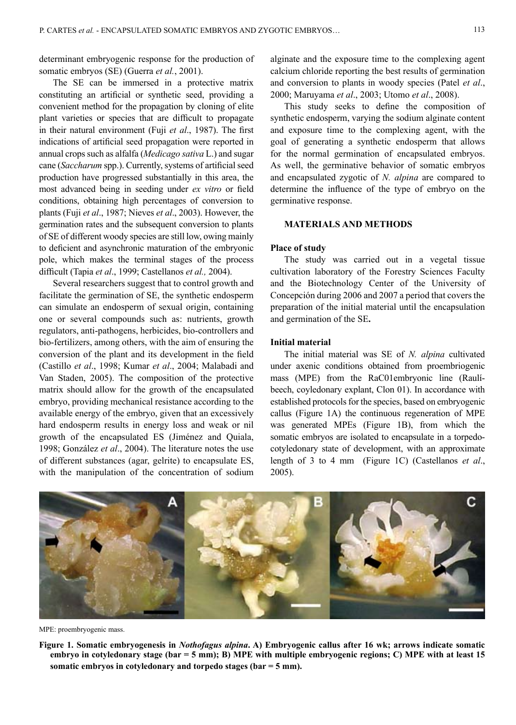determinant embryogenic response for the production of somatic embryos (SE) (Guerra *et al.*, 2001).

The SE can be immersed in a protective matrix constituting an artificial or synthetic seed, providing a convenient method for the propagation by cloning of elite plant varieties or species that are difficult to propagate in their natural environment (Fuji *et al*., 1987). The first indications of artificial seed propagation were reported in annual crops such as alfalfa (*Medicago sativa* L.) and sugar cane (*Saccharum* spp.). Currently, systems of artificial seed production have progressed substantially in this area, the most advanced being in seeding under *ex vitro* or field conditions, obtaining high percentages of conversion to plants (Fuji *et al*., 1987; Nieves *et al*., 2003). However, the germination rates and the subsequent conversion to plants of SE of different woody species are still low, owing mainly to deficient and asynchronic maturation of the embryonic pole, which makes the terminal stages of the process difficult (Tapia *et al*., 1999; Castellanos *et al.,* 2004).

Several researchers suggest that to control growth and facilitate the germination of SE, the synthetic endosperm can simulate an endosperm of sexual origin, containing one or several compounds such as: nutrients, growth regulators, anti-pathogens, herbicides, bio-controllers and bio-fertilizers, among others, with the aim of ensuring the conversion of the plant and its development in the field (Castillo *et al*., 1998; Kumar *et al*., 2004; Malabadi and Van Staden, 2005). The composition of the protective matrix should allow for the growth of the encapsulated embryo, providing mechanical resistance according to the available energy of the embryo, given that an excessively hard endosperm results in energy loss and weak or nil growth of the encapsulated ES (Jiménez and Quiala, 1998; González *et al*., 2004). The literature notes the use of different substances (agar, gelrite) to encapsulate ES, with the manipulation of the concentration of sodium

alginate and the exposure time to the complexing agent calcium chloride reporting the best results of germination and conversion to plants in woody species (Patel *et al*., 2000; Maruyama *et al*., 2003; Utomo *et al*., 2008).

This study seeks to define the composition of synthetic endosperm, varying the sodium alginate content and exposure time to the complexing agent, with the goal of generating a synthetic endosperm that allows for the normal germination of encapsulated embryos. As well, the germinative behavior of somatic embryos and encapsulated zygotic of *N. alpina* are compared to determine the influence of the type of embryo on the germinative response.

# **MATERIALS AND METHODS**

## **Place of study**

The study was carried out in a vegetal tissue cultivation laboratory of the Forestry Sciences Faculty and the Biotechnology Center of the University of Concepción during 2006 and 2007 a period that covers the preparation of the initial material until the encapsulation and germination of the SE**.** 

### **Initial material**

The initial material was SE of *N. alpina* cultivated under axenic conditions obtained from proembriogenic mass (MPE) from the RaC01embryonic line (Raulíbeech, coyledonary explant, Clon 01). In accordance with established protocols for the species, based on embryogenic callus (Figure 1A) the continuous regeneration of MPE was generated MPEs (Figure 1B), from which the somatic embryos are isolated to encapsulate in a torpedocotyledonary state of development, with an approximate length of 3 to 4 mm (Figure 1C) (Castellanos *et al*., 2005).



MPE: proembryogenic mass.

**Figure 1. Somatic embryogenesis in** *Nothofagus alpina***. A) Embryogenic callus after 16 wk; arrows indicate somatic embryo in cotyledonary stage (bar = 5 mm); B) MPE with multiple embryogenic regions; C) MPE with at least 15 somatic embryos in cotyledonary and torpedo stages (bar = 5 mm).**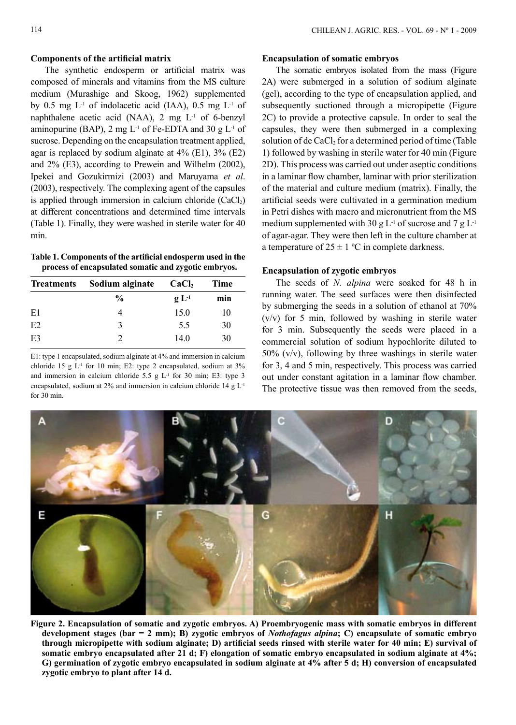## **Components of the artificial matrix**

The synthetic endosperm or artificial matrix was composed of minerals and vitamins from the MS culture medium (Murashige and Skoog, 1962) supplemented by 0.5 mg  $L^{-1}$  of indolacetic acid (IAA), 0.5 mg  $L^{-1}$  of naphthalene acetic acid (NAA),  $2 \text{ mg } L$ <sup>1</sup> of 6-benzyl aminopurine (BAP), 2 mg  $L^{-1}$  of Fe-EDTA and 30 g  $L^{-1}$  of sucrose. Depending on the encapsulation treatment applied, agar is replaced by sodium alginate at  $4\%$  (E1),  $3\%$  (E2) and 2% (E3), according to Prewein and Wilhelm (2002), Ipekei and Gozukirmizi (2003) and Maruyama *et al*. (2003), respectively. The complexing agent of the capsules is applied through immersion in calcium chloride  $(CaCl<sub>2</sub>)$ at different concentrations and determined time intervals (Table 1). Finally, they were washed in sterile water for 40 min.

**Table 1. Components of the artificial endosperm used in the process of encapsulated somatic and zygotic embryos.**

| <b>Treatments</b> | Sodium alginate $CaCl2$ |                                       | Time |
|-------------------|-------------------------|---------------------------------------|------|
|                   | $\frac{0}{0}$           | $\mathbf{g}$ $\mathbf{L}^{\text{-1}}$ | min  |
| E1                |                         | 15.0                                  | 10   |
| E2                |                         | 5.5                                   | 30   |
| E <sub>3</sub>    |                         | 14.0                                  | 30   |

E1: type 1 encapsulated, sodium alginate at 4% and immersion in calcium chloride 15 g  $L<sup>-1</sup>$  for 10 min; E2: type 2 encapsulated, sodium at 3% and immersion in calcium chloride 5.5 g  $L$ <sup>1</sup> for 30 min; E3: type 3 encapsulated, sodium at 2% and immersion in calcium chloride 14 g L-1 for 30 min.

## **Encapsulation of somatic embryos**

The somatic embryos isolated from the mass (Figure 2A) were submerged in a solution of sodium alginate (gel), according to the type of encapsulation applied, and subsequently suctioned through a micropipette (Figure 2C) to provide a protective capsule. In order to seal the capsules, they were then submerged in a complexing solution of de CaCl<sub>2</sub> for a determined period of time (Table 1) followed by washing in sterile water for 40 min (Figure 2D). This process was carried out under aseptic conditions in a laminar flow chamber, laminar with prior sterilization of the material and culture medium (matrix). Finally, the artificial seeds were cultivated in a germination medium in Petri dishes with macro and micronutrient from the MS medium supplemented with 30 g  $L^{-1}$  of sucrose and 7 g  $L^{-1}$ of agar-agar. They were then left in the culture chamber at a temperature of  $25 \pm 1$  °C in complete darkness.

#### **Encapsulation of zygotic embryos**

The seeds of *N. alpina* were soaked for 48 h in running water. The seed surfaces were then disinfected by submerging the seeds in a solution of ethanol at 70% (v/v) for 5 min, followed by washing in sterile water for 3 min. Subsequently the seeds were placed in a commercial solution of sodium hypochlorite diluted to 50% (v/v), following by three washings in sterile water for 3, 4 and 5 min, respectively. This process was carried out under constant agitation in a laminar flow chamber. The protective tissue was then removed from the seeds,



**Figure 2. Encapsulation of somatic and zygotic embryos. A) Proembryogenic mass with somatic embryos in different development stages (bar = 2 mm); B) zygotic embryos of** *Nothofagus alpina***; C) encapsulate of somatic embryo through micropipette with sodium alginate; D) artificial seeds rinsed with sterile water for 40 min; E) survival of somatic embryo encapsulated after 21 d; F) elongation of somatic embryo encapsulated in sodium alginate at 4%; G) germination of zygotic embryo encapsulated in sodium alginate at 4% after 5 d; H) conversion of encapsulated zygotic embryo to plant after 14 d.**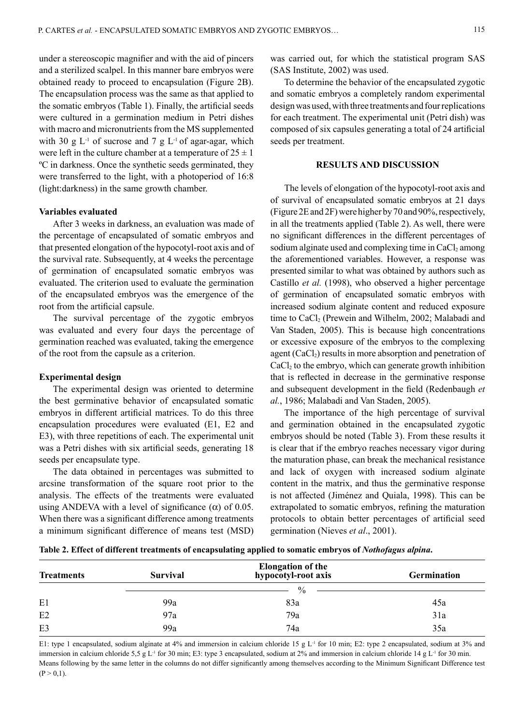under a stereoscopic magnifier and with the aid of pincers and a sterilized scalpel. In this manner bare embryos were obtained ready to proceed to encapsulation (Figure 2B). The encapsulation process was the same as that applied to the somatic embryos (Table 1). Finally, the artificial seeds were cultured in a germination medium in Petri dishes with macro and micronutrients from the MS supplemented with 30 g  $L^{-1}$  of sucrose and 7 g  $L^{-1}$  of agar-agar, which were left in the culture chamber at a temperature of  $25 \pm 1$ ºC in darkness. Once the synthetic seeds germinated, they were transferred to the light, with a photoperiod of 16:8 (light:darkness) in the same growth chamber.

#### **Variables evaluated**

After 3 weeks in darkness, an evaluation was made of the percentage of encapsulated of somatic embryos and that presented elongation of the hypocotyl-root axis and of the survival rate. Subsequently, at 4 weeks the percentage of germination of encapsulated somatic embryos was evaluated. The criterion used to evaluate the germination of the encapsulated embryos was the emergence of the root from the artificial capsule.

The survival percentage of the zygotic embryos was evaluated and every four days the percentage of germination reached was evaluated, taking the emergence of the root from the capsule as a criterion.

#### **Experimental design**

The experimental design was oriented to determine the best germinative behavior of encapsulated somatic embryos in different artificial matrices. To do this three encapsulation procedures were evaluated (E1, E2 and E3), with three repetitions of each. The experimental unit was a Petri dishes with six artificial seeds, generating 18 seeds per encapsulate type.

The data obtained in percentages was submitted to arcsine transformation of the square root prior to the analysis. The effects of the treatments were evaluated using ANDEVA with a level of significance  $(\alpha)$  of 0.05. When there was a significant difference among treatments a minimum significant difference of means test (MSD) was carried out, for which the statistical program SAS (SAS Institute, 2002) was used.

To determine the behavior of the encapsulated zygotic and somatic embryos a completely random experimental design was used, with three treatments and four replications for each treatment. The experimental unit (Petri dish) was composed of six capsules generating a total of 24 artificial seeds per treatment.

## **RESULTS AND DISCUSSION**

The levels of elongation of the hypocotyl-root axis and of survival of encapsulated somatic embryos at 21 days (Figure 2E and 2F) were higher by 70 and 90%, respectively, in all the treatments applied (Table 2). As well, there were no significant differences in the different percentages of sodium alginate used and complexing time in CaCl<sub>2</sub> among the aforementioned variables. However, a response was presented similar to what was obtained by authors such as Castillo *et al.* (1998), who observed a higher percentage of germination of encapsulated somatic embryos with increased sodium alginate content and reduced exposure time to CaCl<sub>2</sub> (Prewein and Wilhelm, 2002; Malabadi and Van Staden, 2005). This is because high concentrations or excessive exposure of the embryos to the complexing agent  $(CaCl<sub>2</sub>)$  results in more absorption and penetration of  $CaCl<sub>2</sub>$  to the embryo, which can generate growth inhibition that is reflected in decrease in the germinative response and subsequent development in the field (Redenbaugh *et al.*, 1986; Malabadi and Van Staden, 2005).

The importance of the high percentage of survival and germination obtained in the encapsulated zygotic embryos should be noted (Table 3). From these results it is clear that if the embryo reaches necessary vigor during the maturation phase, can break the mechanical resistance and lack of oxygen with increased sodium alginate content in the matrix, and thus the germinative response is not affected (Jiménez and Quiala, 1998). This can be extrapolated to somatic embryos, refining the maturation protocols to obtain better percentages of artificial seed germination (Nieves *et al*., 2001).

**Table 2. Effect of different treatments of encapsulating applied to somatic embryos of** *Nothofagus alpina***.**

| <b>Treatments</b> | <b>Survival</b> | Elongation of the<br>hypocotyl-root axis | <b>Germination</b> |
|-------------------|-----------------|------------------------------------------|--------------------|
|                   |                 | $\%$ -                                   |                    |
| E1                | 99a             | 83a                                      | 45a                |
| E2                | 97a             | 79a                                      | 31a                |
| E <sub>3</sub>    | 99a             | 74a                                      | 35a                |

E1: type 1 encapsulated, sodium alginate at 4% and immersion in calcium chloride 15 g L<sup>-1</sup> for 10 min; E2: type 2 encapsulated, sodium at 3% and immersion in calcium chloride 5,5 g L<sup>-1</sup> for 30 min; E3: type 3 encapsulated, sodium at 2% and immersion in calcium chloride 14 g L<sup>-1</sup> for 30 min. Means following by the same letter in the columns do not differ significantly among themselves according to the Minimum Significant Difference test  $(P > 0, 1)$ .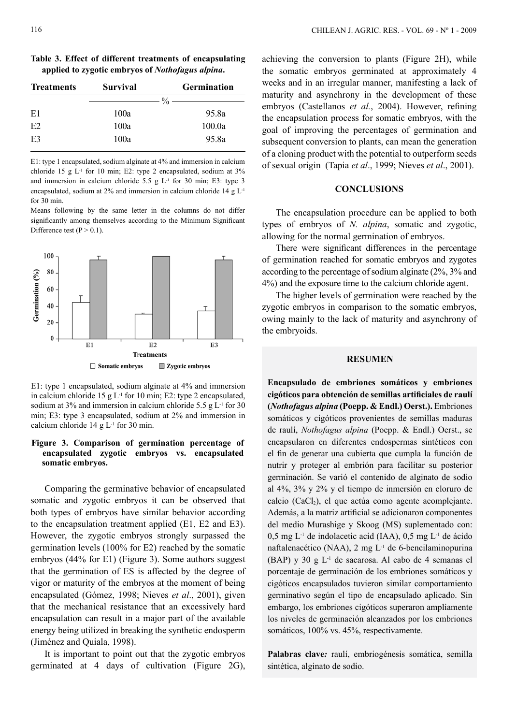**Table 3. Effect of different treatments of encapsulating applied to zygotic embryos of** *Nothofagus alpina***.**

| <b>Treatments</b> | <b>Survival</b> | <b>Germination</b> |
|-------------------|-----------------|--------------------|
|                   |                 |                    |
| E1                | 100a            | 95.8a              |
| E2                | 100a            | 100.0a             |
| E <sub>3</sub>    | 100a            | 95.8a              |

E1: type 1 encapsulated, sodium alginate at 4% and immersion in calcium chloride 15 g  $L<sup>-1</sup>$  for 10 min; E2: type 2 encapsulated, sodium at 3% and immersion in calcium chloride 5.5 g  $L<sup>-1</sup>$  for 30 min; E3: type 3 encapsulated, sodium at 2% and immersion in calcium chloride 14 g L-1 for 30 min.

Means following by the same letter in the columns do not differ significantly among themselves according to the Minimum Significant Difference test  $(P > 0.1)$ .



E1: type 1 encapsulated, sodium alginate at 4% and immersion in calcium chloride 15 g  $L<sup>-1</sup>$  for 10 min; E2: type 2 encapsulated, sodium at 3% and immersion in calcium chloride 5.5 g  $L<sup>-1</sup>$  for 30 min; E3: type 3 encapsulated, sodium at 2% and immersion in calcium chloride  $14 \text{ g L}$ <sup>1</sup> for 30 min.

#### **Figure 3. Comparison of germination percentage of encapsulated zygotic embryos vs. encapsulated somatic embryos.**

Comparing the germinative behavior of encapsulated somatic and zygotic embryos it can be observed that both types of embryos have similar behavior according to the encapsulation treatment applied (E1, E2 and E3). However, the zygotic embryos strongly surpassed the germination levels (100% for E2) reached by the somatic embryos (44% for E1) (Figure 3). Some authors suggest that the germination of ES is affected by the degree of vigor or maturity of the embryos at the moment of being encapsulated (Gómez, 1998; Nieves *et al*., 2001), given that the mechanical resistance that an excessively hard encapsulation can result in a major part of the available energy being utilized in breaking the synthetic endosperm (Jiménez and Quiala, 1998).

It is important to point out that the zygotic embryos germinated at 4 days of cultivation (Figure 2G), achieving the conversion to plants (Figure 2H), while the somatic embryos germinated at approximately 4 weeks and in an irregular manner, manifesting a lack of maturity and asynchrony in the development of these embryos (Castellanos *et al.*, 2004). However, refining the encapsulation process for somatic embryos, with the goal of improving the percentages of germination and subsequent conversion to plants, can mean the generation of a cloning product with the potential to outperform seeds of sexual origin (Tapia *et al*., 1999; Nieves *et al*., 2001).

### **CONCLUSIONS**

The encapsulation procedure can be applied to both types of embryos of *N. alpina*, somatic and zygotic, allowing for the normal germination of embryos.

There were significant differences in the percentage of germination reached for somatic embryos and zygotes according to the percentage of sodium alginate (2%, 3% and 4%) and the exposure time to the calcium chloride agent.

The higher levels of germination were reached by the zygotic embryos in comparison to the somatic embryos, owing mainly to the lack of maturity and asynchrony of the embryoids.

#### **RESUMEN**

**Encapsulado de embriones somáticos y embriones cigóticos para obtención de semillas artificiales de raulí (***Nothofagus alpina* **(Poepp. & Endl.) Oerst.).** Embriones somáticos y cigóticos provenientes de semillas maduras de raulí, *Nothofagus alpina* (Poepp. & Endl.) Oerst., se encapsularon en diferentes endospermas sintéticos con el fin de generar una cubierta que cumpla la función de nutrir y proteger al embrión para facilitar su posterior germinación. Se varió el contenido de alginato de sodio al 4%, 3% y 2% y el tiempo de inmersión en cloruro de calcio (CaCl<sub>2</sub>), el que actúa como agente acomplejante. Además, a la matriz artificial se adicionaron componentes del medio Murashige y Skoog (MS) suplementado con: 0,5 mg L-1 de indolacetic acid (IAA), 0,5 mg L-1 de ácido naftalenacético (NAA), 2 mg L-1 de 6-bencilaminopurina (BAP) y 30 g L-1 de sacarosa. Al cabo de 4 semanas el porcentaje de germinación de los embriones somáticos y cigóticos encapsulados tuvieron similar comportamiento germinativo según el tipo de encapsulado aplicado. Sin embargo, los embriones cigóticos superaron ampliamente los niveles de germinación alcanzados por los embriones somáticos, 100% vs. 45%, respectivamente.

**Palabras clave***:* raulí, embriogénesis somática, semilla sintética, alginato de sodio.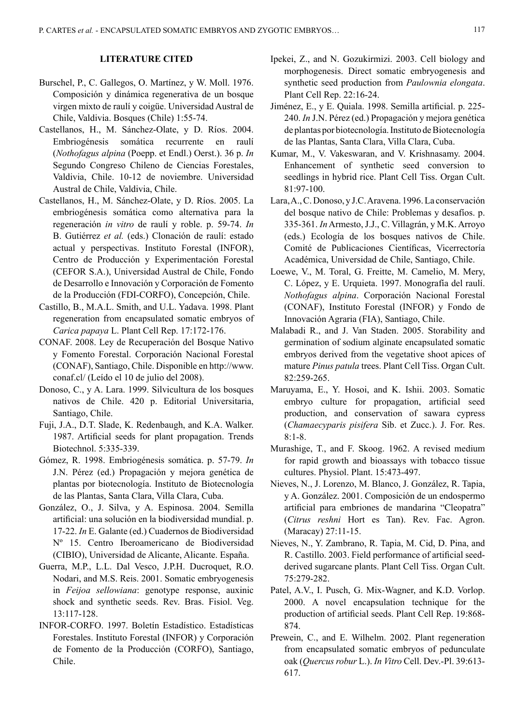# **LITERATURE CITED**

- Burschel, P., C. Gallegos, O. Martínez, y W. Moll. 1976. Composición y dinámica regenerativa de un bosque virgen mixto de raulí y coigüe. Universidad Austral de Chile, Valdivia. Bosques (Chile) 1:55-74.
- Castellanos, H., M. Sánchez-Olate, y D. Ríos. 2004. Embriogénesis somática recurrente en raulí (*Nothofagus alpina* (Poepp. et Endl.) Oerst.). 36 p. *In* Segundo Congreso Chileno de Ciencias Forestales, Valdivia, Chile. 10-12 de noviembre. Universidad Austral de Chile, Valdivia, Chile.
- Castellanos, H., M. Sánchez-Olate, y D. Ríos. 2005. La embriogénesis somática como alternativa para la regeneración *in vitro* de raulí y roble. p. 59-74. *In* B. Gutiérrez *et al.* (eds.) Clonación de raulí: estado actual y perspectivas. Instituto Forestal (INFOR), Centro de Producción y Experimentación Forestal (CEFOR S.A.), Universidad Austral de Chile, Fondo de Desarrollo e Innovación y Corporación de Fomento de la Producción (FDI-CORFO), Concepción, Chile.
- Castillo, B., M.A.L. Smith, and U.L. Yadava. 1998. Plant regeneration from encapsulated somatic embryos of *Carica papaya* L. Plant Cell Rep. 17:172-176.
- CONAF. 2008. Ley de Recuperación del Bosque Nativo y Fomento Forestal. Corporación Nacional Forestal (CONAF), Santiago, Chile. Disponible en http://www. conaf.cl/ (Leído el 10 de julio del 2008).
- Donoso, C., y A. Lara. 1999. Silvicultura de los bosques nativos de Chile. 420 p. Editorial Universitaria, Santiago, Chile.
- Fuji, J.A., D.T. Slade, K. Redenbaugh, and K.A. Walker. 1987. Artificial seeds for plant propagation. Trends Biotechnol. 5:335-339.
- Gómez, R. 1998. Embriogénesis somática. p. 57-79. *In* J.N. Pérez (ed.) Propagación y mejora genética de plantas por biotecnología. Instituto de Biotecnología de las Plantas, Santa Clara, Villa Clara, Cuba.
- González, O., J. Silva, y A. Espinosa. 2004. Semilla artificial: una solución en la biodiversidad mundial. p. 17-22. *In* E. Galante (ed.) Cuadernos de Biodiversidad Nº 15. Centro Iberoamericano de Biodiversidad (CIBIO), Universidad de Alicante, Alicante. España.
- Guerra, M.P., L.L. Dal Vesco, J.P.H. Ducroquet, R.O. Nodari, and M.S. Reis. 2001. Somatic embryogenesis in *Feijoa sellowiana*: genotype response, auxinic shock and synthetic seeds. Rev. Bras. Fisiol. Veg. 13:117-128.
- INFOR-CORFO. 1997. Boletín Estadístico. Estadísticas Forestales. Instituto Forestal (INFOR) y Corporación de Fomento de la Producción (CORFO), Santiago, Chile.
- Ipekei, Z., and N. Gozukirmizi. 2003. Cell biology and morphogenesis. Direct somatic embryogenesis and synthetic seed production from *Paulownia elongata*. Plant Cell Rep. 22:16-24.
- Jiménez, E., y E. Quiala. 1998. Semilla artificial. p. 225- 240. *In* J.N. Pérez (ed.) Propagación y mejora genética de plantas por biotecnología. Instituto de Biotecnología de las Plantas, Santa Clara, Villa Clara, Cuba.
- Kumar, M., V. Vakeswaran, and V. Krishnasamy. 2004. Enhancement of synthetic seed conversion to seedlings in hybrid rice. Plant Cell Tiss. Organ Cult. 81:97-100.
- Lara, A., C. Donoso, y J.C. Aravena. 1996. La conservación del bosque nativo de Chile: Problemas y desafíos. p. 335-361. *In* Armesto, J.J., C. Villagrán, y M.K. Arroyo (eds.) Ecología de los bosques nativos de Chile. Comité de Publicaciones Científicas, Vicerrectoría Académica, Universidad de Chile, Santiago, Chile.
- Loewe, V., M. Toral, G. Freitte, M. Camelio, M. Mery, C. López, y E. Urquieta. 1997. Monografía del raulí. *Nothofagus alpina*. Corporación Nacional Forestal (CONAF), Instituto Forestal (INFOR) y Fondo de Innovación Agraria (FIA), Santiago, Chile.
- Malabadi R., and J. Van Staden. 2005. Storability and germination of sodium alginate encapsulated somatic embryos derived from the vegetative shoot apices of mature *Pinus patula* trees. Plant Cell Tiss. Organ Cult. 82:259-265.
- Maruyama, E., Y. Hosoi, and K. Ishii. 2003. Somatic embryo culture for propagation, artificial seed production, and conservation of sawara cypress (*Chamaecyparis pisifera* Sib. et Zucc.). J. For. Res. 8:1-8.
- Murashige, T., and F. Skoog. 1962. A revised medium for rapid growth and bioassays with tobacco tissue cultures. Physiol. Plant. 15:473-497.
- Nieves, N., J. Lorenzo, M. Blanco, J. González, R. Tapia, y A. González. 2001. Composición de un endospermo artificial para embriones de mandarina "Cleopatra" (*Citrus reshni* Hort es Tan). Rev. Fac. Agron. (Maracay) 27:11-15.
- Nieves, N., Y. Zambrano, R. Tapia, M. Cid, D. Pina, and R. Castillo. 2003. Field performance of artificial seedderived sugarcane plants. Plant Cell Tiss. Organ Cult. 75:279-282.
- Patel, A.V., I. Pusch, G. Mix-Wagner, and K.D. Vorlop. 2000. A novel encapsulation technique for the production of artificial seeds. Plant Cell Rep. 19:868- 874.
- Prewein, C., and E. Wilhelm. 2002. Plant regeneration from encapsulated somatic embryos of pedunculate oak (*Quercus robur* L.). *In Vitro* Cell. Dev.-Pl. 39:613- 617.